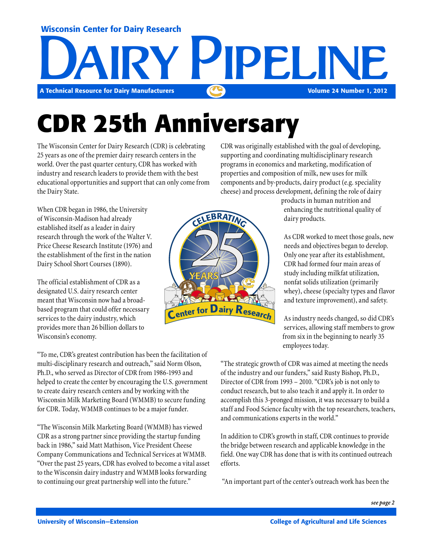#### Wisconsin Center for Dairy Research



# **CDR 25th Anniversary**

The Wisconsin Center for Dairy Research (CDR) is celebrating 25 years as one of the premier dairy research centers in the world. Over the past quarter century, CDR has worked with industry and research leaders to provide them with the best educational opportunities and support that can only come from the Dairy State.

CDR was originally established with the goal of developing, supporting and coordinating multidisciplinary research programs in economics and marketing, modification of properties and composition of milk, new uses for milk components and by-products, dairy product (e.g. speciality cheese) and process development, defining the role of dairy

When CDR began in 1986, the University of Wisconsin-Madison had already established itself as a leader in dairy research through the work of the Walter V. Price Cheese Research Institute (1976) and the establishment of the first in the nation Dairy School Short Courses (1890).

The official establishment of CDR as a designated U.S. dairy research center meant that Wisconsin now had a broadbased program that could offer necessary services to the dairy industry, which provides more than 26 billion dollars to Wisconsin's economy.

"To me, CDR's greatest contribution has been the facilitation of multi-disciplinary research and outreach," said Norm Olson, Ph.D., who served as Director of CDR from 1986-1993 and helped to create the center by encouraging the U.S. government to create dairy research centers and by working with the Wisconsin Milk Marketing Board (WMMB) to secure funding for CDR. Today, WMMB continues to be a major funder.

"The Wisconsin Milk Marketing Board (WMMB) has viewed CDR as a strong partner since providing the startup funding back in 1986," said Matt Mathison, Vice President Cheese Company Communications and Technical Services at WMMB. "Over the past 25 years, CDR has evolved to become a vital asset to the Wisconsin dairy industry and WMMB looks forwarding to continuing our great partnership well into the future."



products in human nutrition and enhancing the nutritional quality of dairy products.

As CDR worked to meet those goals, new needs and objectives began to develop. Only one year after its establishment, CDR had formed four main areas of study including milkfat utilization, nonfat solids utilization (primarily whey), cheese (specialty types and flavor and texture improvement), and safety.

As industry needs changed, so did CDR's services, allowing staff members to grow from six in the beginning to nearly 35 employees today.

"The strategic growth of CDR was aimed at meeting the needs of the industry and our funders," said Rusty Bishop, Ph.D., Director of CDR from 1993 – 2010. "CDR's job is not only to conduct research, but to also teach it and apply it. In order to accomplish this 3-pronged mission, it was necessary to build a staff and Food Science faculty with the top researchers, teachers, and communications experts in the world."

In addition to CDR's growth in staff, CDR continues to provide the bridge between research and applicable knowledge in the field. One way CDR has done that is with its continued outreach efforts.

"An important part of the center's outreach work has been the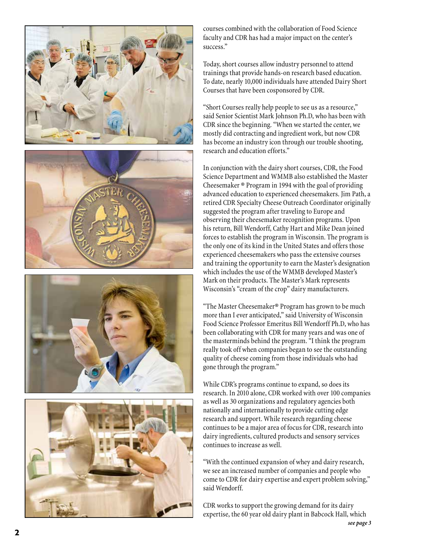

courses combined with the collaboration of Food Science faculty and CDR has had a major impact on the center's success."

Today, short courses allow industry personnel to attend trainings that provide hands-on research based education. To date, nearly 10,000 individuals have attended Dairy Short Courses that have been cosponsored by CDR.

"Short Courses really help people to see us as a resource," said Senior Scientist Mark Johnson Ph.D, who has been with CDR since the beginning. "When we started the center, we mostly did contracting and ingredient work, but now CDR has become an industry icon through our trouble shooting, research and education efforts."

In conjunction with the dairy short courses, CDR, the Food Science Department and WMMB also established the Master Cheesemaker ® Program in 1994 with the goal of providing advanced education to experienced cheesemakers. Jim Path, a retired CDR Specialty Cheese Outreach Coordinator originally suggested the program after traveling to Europe and observing their cheesemaker recognition programs. Upon his return, Bill Wendorff, Cathy Hart and Mike Dean joined forces to establish the program in Wisconsin. The program is the only one of its kind in the United States and offers those experienced cheesemakers who pass the extensive courses and training the opportunity to earn the Master's designation which includes the use of the WMMB developed Master's Mark on their products. The Master's Mark represents Wisconsin's "cream of the crop" dairy manufacturers.

"The Master Cheesemaker® Program has grown to be much more than I ever anticipated," said University of Wisconsin Food Science Professor Emeritus Bill Wendorff Ph.D, who has been collaborating with CDR for many years and was one of the masterminds behind the program. "I think the program really took off when companies began to see the outstanding quality of cheese coming from those individuals who had gone through the program."

While CDR's programs continue to expand, so does its research. In 2010 alone, CDR worked with over 100 companies as well as 30 organizations and regulatory agencies both nationally and internationally to provide cutting edge research and support. While research regarding cheese continues to be a major area of focus for CDR, research into dairy ingredients, cultured products and sensory services continues to increase as well.

"With the continued expansion of whey and dairy research, we see an increased number of companies and people who come to CDR for dairy expertise and expert problem solving," said Wendorff.

CDR works to support the growing demand for its dairy expertise, the 60 year old dairy plant in Babcock Hall, which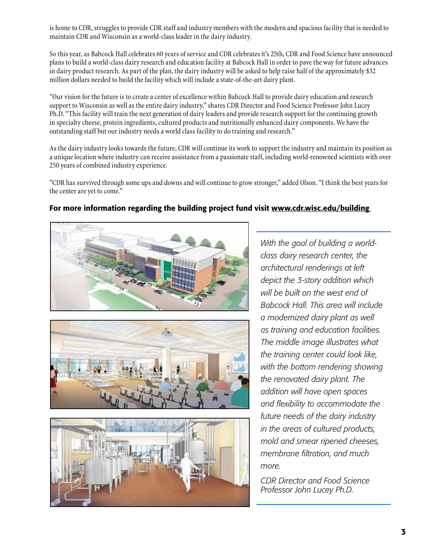is home to CDR, struggles to provide CDR staff and industry members with the modern and spacious facility that is needed to maintain CDR and Wisconsin as a world-class leader in the dairy industry.

So this year, as Babcock Hall celebrates 60 years of service and CDR celebrates it's 25th, CDR and Food Science have announced plans to build a world-class dairy research and education facility at Babcock Hall in order to pave the way for future advances in dairy product research. As part of the plan, the dairy industry will be asked to help raise half of the approximately \$32 million dollars needed to build the facility which will include a state-of-the-art dairy plant.

"Our vision for the future is to create a center of excellence within Babcock Hall to provide dairy education and research support to Wisconsin as well as the entire dairy industry," shares CDR Director and Food Science Professor John Lucey Ph.D. "This facility will train the next generation of dairy leaders and provide research support for the continuing growth in specialty cheese, protein ingredients, cultured products and nutritionally enhanced dairy components. We have the outstanding staff but our industry needs a world class facility to do training and research."

As the dairy industry looks towards the future, CDR will continue its work to support the industry and maintain its position as a unique location where industry can receive assistance from a passionate staff, including world-renowned scientists with over 250 years of combined industry experience.

"CDR has survived through some ups and downs and will continue to grow stronger," added Olson. "I think the best years for the center are yet to come."

#### For more information regarding the building project fund visit www.cdr.wisc.edu/building







*With the goal of building a worldclass dairy research center, the architectural renderings at left depict the 3-story addition which will be built on the west end of Babcock Hall. This area will include a modernized dairy plant as well as training and education facilities. The middle image illustrates what the training center could look like, with the bottom rendering showing the renovated dairy plant. The addition will have open spaces and flexibility to accommodate the future needs of the dairy industry in the areas of cultured products, mold and smear ripened cheeses, membrane filtration, and much more.*

*CDR Director and Food Science Professor John Lucey Ph.D.*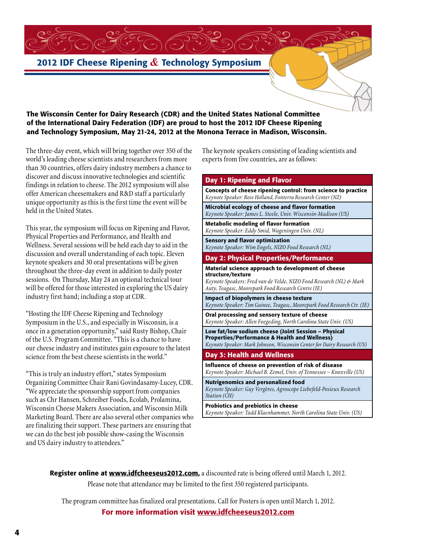### 2012 IDF Cheese Ripening *&* Technology Symposium

#### The Wisconsin Center for Dairy Research (CDR) and the United States National Committee of the International Dairy Federation (IDF) are proud to host the 2012 IDF Cheese Ripening and Technology Symposium, May 21-24, 2012 at the Monona Terrace in Madison, Wisconsin.

The three-day event, which will bring together over 350 of the world's leading cheese scientists and researchers from more than 30 countries, offers dairy industry members a chance to discover and discuss innovative technologies and scientific findings in relation to cheese. The 2012 symposium will also offer American cheesemakers and R&D staff a particularly unique opportunity as this is the first time the event will be held in the United States.

This year, the symposium will focus on Ripening and Flavor, Physical Properties and Performance, and Health and Wellness. Several sessions will be held each day to aid in the discussion and overall understanding of each topic. Eleven keynote speakers and 30 oral presentations will be given throughout the three-day event in addition to daily poster sessions. On Thursday, May 24 an optional technical tour will be offered for those interested in exploring the US dairy industry first hand; including a stop at CDR.

"Hosting the IDF Cheese Ripening and Technology Symposium in the U.S., and especially in Wisconsin, is a once in a generation opportunity," said Rusty Bishop, Chair of the U.S. Program Committee. "This is a chance to have our cheese industry and institutes gain exposure to the latest science from the best cheese scientists in the world."

"This is truly an industry effort," states Symposium Organizing Committee Chair Rani Govindasamy-Lucey, CDR. "We appreciate the sponsorship support from companies such as Chr Hansen, Schreiber Foods, Ecolab, Prolamina, Wisconsin Cheese Makers Association, and Wisconsin Milk Marketing Board. There are also several other companies who are finalizing their support. These partners are ensuring that we can do the best job possible show-casing the Wisconsin and US dairy industry to attendees."

The keynote speakers consisting of leading scientists and experts from five countries, are as follows:

#### Day 1: Ripening and Flavor Concepts of cheese ripening control: from science to practice *Keynote Speaker: Ross Holland, Fonterra Research Center (NZ)* Microbial ecology of cheese and flavor formation *Keynote Speaker: James L. Steele, Univ. Wisconsin-Madison (US)* Metabolic modeling of flavor formation *Keynote Speaker: Eddy Smid, Wageningen Univ. (NL)* Sensory and flavor optimization *Keynote Speaker: Wim Engels, NIZO Food Research (NL)* Day 2: Physical Properties/Performance Material science approach to development of cheese structure/texture *Keynote Speakers: Fred van de Velde, NIZO Food Research (NL) & Mark Auty, Teagasc, Moorepark Food Research Centre (IE)* Impact of biopolymers in cheese texture *Keynote Speaker: Tim Guinee, Teagasc, Moorepark Food Research Ctr. (IE)* Oral processing and sensory texture of cheese *Keynote Speaker: Allen Foegeding, North Carolina State Univ. (US)* Low fat/low sodium cheese (Joint Session – Physical Properties/Performance & Health and Wellness) *Keynote Speaker: Mark Johnson, Wisconsin Center for Dairy Research (US)* Day 3: Health and Wellness Influence of cheese on prevention of risk of disease *Keynote Speaker: Michael B. Zemel, Univ. of Tennessee – Knoxville (US)* Nutrigenomics and personalized food *Keynote Speaker: Guy Vergères, Agroscope Liebefeld-Posieux Research Station (CH)* Probiotics and prebiotics in cheese *Keynote Speaker: Todd Klaenhammer, North Carolina State Univ. (US)*

Register online at www.idfcheeseus2012.com, a discounted rate is being offered until March 1, 2012. Please note that attendance may be limited to the first 350 registered participants.

The program committee has finalized oral presentations. Call for Posters is open until March 1, 2012. For more information visit www.idfcheeseus2012.com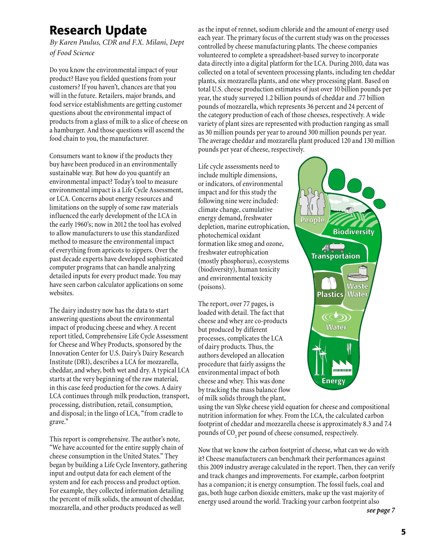### Research Update

*By Karen Paulus, CDR and F.X. Milani, Dept of Food Science*

Do you know the environmental impact of your product? Have you fielded questions from your customers? If you haven't, chances are that you will in the future. Retailers, major brands, and food service establishments are getting customer questions about the environmental impact of products from a glass of milk to a slice of cheese on a hamburger. And those questions will ascend the food chain to you, the manufacturer.

Consumers want to know if the products they buy have been produced in an environmentally sustainable way. But how do you quantify an environmental impact? Today's tool to measure environmental impact is a Life Cycle Assessment, or LCA. Concerns about energy resources and limitations on the supply of some raw materials influenced the early development of the LCA in the early 1960's; now in 2012 the tool has evolved to allow manufacturers to use this standardized method to measure the environmental impact of everything from apricots to zippers. Over the past decade experts have developed sophisticated computer programs that can handle analyzing detailed inputs for every product made. You may have seen carbon calculator applications on some websites.

The dairy industry now has the data to start answering questions about the environmental impact of producing cheese and whey. A recent report titled, Comprehensive Life Cycle Assessment for Cheese and Whey Products, sponsored by the Innovation Center for U.S. Dairy's Dairy Research Institute (DRI), describes a LCA for mozzarella, cheddar, and whey, both wet and dry. A typical LCA starts at the very beginning of the raw material, in this case feed production for the cows. A dairy LCA continues through milk production, transport, processing, distribution, retail, consumption, and disposal; in the lingo of LCA, "from cradle to grave."

This report is comprehensive. The author's note, "We have accounted for the entire supply chain of cheese consumption in the United States." They began by building a Life Cycle Inventory, gathering input and output data for each element of the system and for each process and product option. For example, they collected information detailing the percent of milk solids, the amount of cheddar, mozzarella, and other products produced as well

as the input of rennet, sodium chloride and the amount of energy used each year. The primary focus of the current study was on the processes controlled by cheese manufacturing plants. The cheese companies volunteered to complete a spreadsheet-based survey to incorporate data directly into a digital platform for the LCA. During 2010, data was collected on a total of seventeen processing plants, including ten cheddar plants, six mozzarella plants, and one whey processing plant. Based on total U.S. cheese production estimates of just over 10 billion pounds per year, the study surveyed 1.2 billion pounds of cheddar and .77 billion pounds of mozzarella, which represents 36 percent and 24 percent of the category production of each of those cheeses, respectively. A wide variety of plant sizes are represented with production ranging as small as 30 million pounds per year to around 300 million pounds per year. The average cheddar and mozzarella plant produced 120 and 130 million pounds per year of cheese, respectively.

People

Life cycle assessments need to include multiple dimensions, or indicators, of environmental impact and for this study the following nine were included: climate change, cumulative energy demand, freshwater depletion, marine eutrophication, photochemical oxidant formation like smog and ozone, freshwater eutrophication (mostly phosphorus), ecosystems (biodiversity), human toxicity and environmental toxicity (poisons).

The report, over 77 pages, is loaded with detail. The fact that cheese and whey are co-products but produced by different processes, complicates the LCA of dairy products. Thus, the authors developed an allocation procedure that fairly assigns the environmental impact of both cheese and whey. This was done by tracking the mass balance flow of milk solids through the plant,

using the van Slyke cheese yield equation for cheese and compositional nutrition information for whey. From the LCA, the calculated carbon footprint of cheddar and mozzarella cheese is approximately 8.3 and 7.4 pounds of CO $\!_2$  per pound of cheese consumed, respectively.

**Energy** 

**Water** 

 $(\mathbb{C}\mathbb{D})$ 

Plastics | Water

**R**<br>Transportaion

**Waste** 

**Biodiversity** 

Now that we know the carbon footprint of cheese, what can we do with it? Cheese manufacturers can benchmark their performances against this 2009 industry average calculated in the report. Then, they can verify and track changes and improvements. For example, carbon footprint has a companion; it is energy consumption. The fossil fuels, coal and gas, both huge carbon dioxide emitters, make up the vast majority of energy used around the world. Tracking your carbon footprint also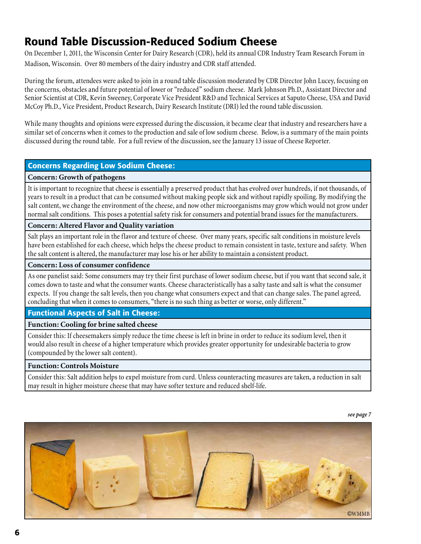### Round Table Discussion-Reduced Sodium Cheese

On December 1, 2011, the Wisconsin Center for Dairy Research (CDR), held its annual CDR Industry Team Research Forum in Madison, Wisconsin. Over 80 members of the dairy industry and CDR staff attended.

During the forum, attendees were asked to join in a round table discussion moderated by CDR Director John Lucey, focusing on the concerns, obstacles and future potential of lower or "reduced" sodium cheese. Mark Johnson Ph.D., Assistant Director and Senior Scientist at CDR, Kevin Sweeney, Corporate Vice President R&D and Technical Services at Saputo Cheese, USA and David McCoy Ph.D., Vice President, Product Research, Dairy Research Institute (DRI) led the round table discussion.

While many thoughts and opinions were expressed during the discussion, it became clear that industry and researchers have a similar set of concerns when it comes to the production and sale of low sodium cheese. Below, is a summary of the main points discussed during the round table. For a full review of the discussion, see the January 13 issue of Cheese Reporter.

#### Concerns Regarding Low Sodium Cheese:

#### **Concern: Growth of pathogens**

It is important to recognize that cheese is essentially a preserved product that has evolved over hundreds, if not thousands, of years to result in a product that can be consumed without making people sick and without rapidly spoiling. By modifying the salt content, we change the environment of the cheese, and now other microorganisms may grow which would not grow under normal salt conditions. This poses a potential safety risk for consumers and potential brand issues for the manufacturers.

#### **Concern: Altered Flavor and Quality variation**

Salt plays an important role in the flavor and texture of cheese. Over many years, specific salt conditions in moisture levels have been established for each cheese, which helps the cheese product to remain consistent in taste, texture and safety. When the salt content is altered, the manufacturer may lose his or her ability to maintain a consistent product.

#### **Concern: Loss of consumer confidence**

As one panelist said: Some consumers may try their first purchase of lower sodium cheese, but if you want that second sale, it comes down to taste and what the consumer wants. Cheese characteristically has a salty taste and salt is what the consumer expects. If you change the salt levels, then you change what consumers expect and that can change sales. The panel agreed, concluding that when it comes to consumers, "there is no such thing as better or worse, only different."

#### Functional Aspects of Salt in Cheese:

#### **Function: Cooling for brine salted cheese**

Consider this: If cheesemakers simply reduce the time cheese is left in brine in order to reduce its sodium level, then it would also result in cheese of a higher temperature which provides greater opportunity for undesirable bacteria to grow (compounded by the lower salt content).

#### **Function: Controls Moisture**

Consider this: Salt addition helps to expel moisture from curd. Unless counteracting measures are taken, a reduction in salt may result in higher moisture cheese that may have softer texture and reduced shelf-life.

*see page 7*

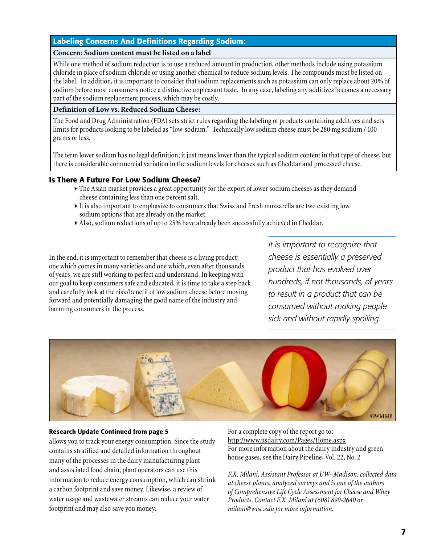#### Labeling Concerns And Definitions Regarding Sodium:

#### **Concern: Sodium content must be listed on a label**

While one method of sodium reduction is to use a reduced amount in production, other methods include using potassium chloride in place of sodium chloride or using another chemical to reduce sodium levels. The compounds must be listed on the label. In addition, it is important to consider that sodium replacements such as potassium can only replace about 20% of sodium before most consumers notice a distinctive unpleasant taste. In any case, labeling any additives becomes a necessary part of the sodium replacement process, which may be costly.

#### **Definition of Low vs. Reduced Sodium Cheese:**

The Food and Drug Administration (FDA) sets strict rules regarding the labeling of products containing additives and sets limits for products looking to be labeled as "low-sodium." Technically low sodium cheese must be 280 mg sodium / 100 grams or less.

The term lower sodium has no legal definition; it just means lower than the typical sodium content in that type of cheese, but there is considerable commercial variation in the sodium levels for cheeses such as Cheddar and processed cheese.

#### Is There A Future For Low Sodium Cheese?

- $\bullet$  The Asian market provides a great opportunity for the export of lower sodium cheeses as they demand cheese containing less than one percent salt.
- $\bullet$  It is also important to emphasize to consumers that Swiss and Fresh mozzarella are two existing low sodium options that are already on the market.
- $\bullet$  Also, sodium reductions of up to 25% have already been successfully achieved in Cheddar.

In the end, it is important to remember that cheese is a living product; one which comes in many varieties and one which, even after thousands of years, we are still working to perfect and understand. In keeping with our goal to keep consumers safe and educated, it is time to take a step back and carefully look at the risk/benefit of low sodium cheese before moving forward and potentially damaging the good name of the industry and harming consumers in the process.

*It is important to recognize that cheese is essentially a preserved product that has evolved over hundreds, if not thousands, of years to result in a product that can be consumed without making people sick and without rapidly spoiling.*



#### Research Update Continued from page 5

allows you to track your energy consumption. Since the study contains stratified and detailed information throughout many of the processes in the dairy manufacturing plant and associated food chain, plant operators can use this information to reduce energy consumption, which can shrink a carbon footprint and save money. Likewise, a review of water usage and wastewater streams can reduce your water footprint and may also save you money.

For a complete copy of the report go to: http://www.usdairy.com/Pages/Home.aspx For more information about the dairy industry and green house gases, see the Dairy Pipeline, Vol. 22, No. 2

*F.X. Milani, Assistant Professor at UW–Madison, collected data at cheese plants, analyzed surveys and is one of the authors of Comprehensive Life Cycle Assessment for Cheese and Whey Products. Contact F.X. Milani at (608) 890-2640 or milani@wisc.edu for more information*.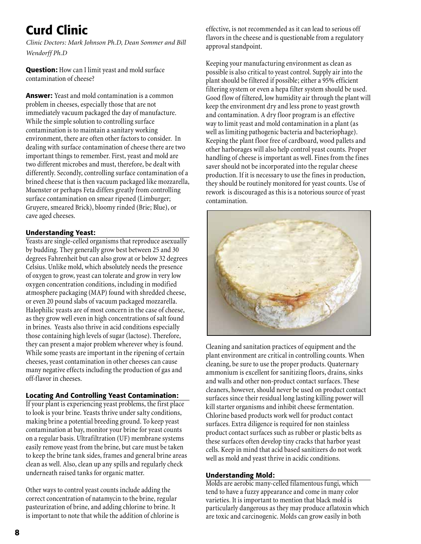## Curd Clinic

*Clinic Doctors: Mark Johnson Ph.D, Dean Sommer and Bill Wendorff Ph.D*

Question: How can I limit yeast and mold surface contamination of cheese?

Answer: Yeast and mold contamination is a common problem in cheeses, especially those that are not immediately vacuum packaged the day of manufacture. While the simple solution to controlling surface contamination is to maintain a sanitary working environment, there are often other factors to consider. In dealing with surface contamination of cheese there are two important things to remember. First, yeast and mold are two different microbes and must, therefore, be dealt with differently. Secondly, controlling surface contamination of a brined cheese that is then vacuum packaged like mozzarella, Muenster or perhaps Feta differs greatly from controlling surface contamination on smear ripened (Limburger; Gruyere, smeared Brick), bloomy rinded (Brie; Blue), or cave aged cheeses.

#### Understanding Yeast:

Yeasts are single-celled organisms that reproduce asexually by budding. They generally grow best between 25 and 30 degrees Fahrenheit but can also grow at or below 32 degrees Celsius. Unlike mold, which absolutely needs the presence of oxygen to grow, yeast can tolerate and grow in very low oxygen concentration conditions, including in modified atmosphere packaging (MAP) found with shredded cheese, or even 20 pound slabs of vacuum packaged mozzarella. Halophilic yeasts are of most concern in the case of cheese, as they grow well even in high concentrations of salt found in brines. Yeasts also thrive in acid conditions especially those containing high levels of sugar (lactose). Therefore, they can present a major problem wherever whey is found. While some yeasts are important in the ripening of certain cheeses, yeast contamination in other cheeses can cause many negative effects including the production of gas and off-flavor in cheeses.

#### Locating And Controlling Yeast Contamination:

If your plant is experiencing yeast problems, the first place to look is your brine. Yeasts thrive under salty conditions, making brine a potential breeding ground. To keep yeast contamination at bay, monitor your brine for yeast counts on a regular basis. Ultrafiltration (UF) membrane systems easily remove yeast from the brine, but care must be taken to keep the brine tank sides, frames and general brine areas clean as well. Also, clean up any spills and regularly check underneath raised tanks for organic matter.

Other ways to control yeast counts include adding the correct concentration of natamycin to the brine, regular pasteurization of brine, and adding chlorine to brine. It is important to note that while the addition of chlorine is effective, is not recommended as it can lead to serious off flavors in the cheese and is questionable from a regulatory approval standpoint.

Keeping your manufacturing environment as clean as possible is also critical to yeast control. Supply air into the plant should be filtered if possible; either a 95% efficient filtering system or even a hepa filter system should be used. Good flow of filtered, low humidity air through the plant will keep the environment dry and less prone to yeast growth and contamination. A dry floor program is an effective way to limit yeast and mold contamination in a plant (as well as limiting pathogenic bacteria and bacteriophage). Keeping the plant floor free of cardboard, wood pallets and other harborages will also help control yeast counts. Proper handling of cheese is important as well. Fines from the fines saver should not be incorporated into the regular cheese production. If it is necessary to use the fines in production, they should be routinely monitored for yeast counts. Use of rework is discouraged as this is a notorious source of yeast contamination.



Cleaning and sanitation practices of equipment and the plant environment are critical in controlling counts. When cleaning, be sure to use the proper products. Quaternary ammonium is excellent for sanitizing floors, drains, sinks and walls and other non-product contact surfaces. These cleaners, however, should never be used on product contact surfaces since their residual long lasting killing power will kill starter organisms and inhibit cheese fermentation. Chlorine based products work well for product contact surfaces. Extra diligence is required for non stainless product contact surfaces such as rubber or plastic belts as these surfaces often develop tiny cracks that harbor yeast cells. Keep in mind that acid based sanitizers do not work well as mold and yeast thrive in acidic conditions.

#### Understanding Mold:

Molds are aerobic many-celled filamentous fungi, which tend to have a fuzzy appearance and come in many color varieties. It is important to mention that black mold is particularly dangerous as they may produce aflatoxin which are toxic and carcinogenic. Molds can grow easily in both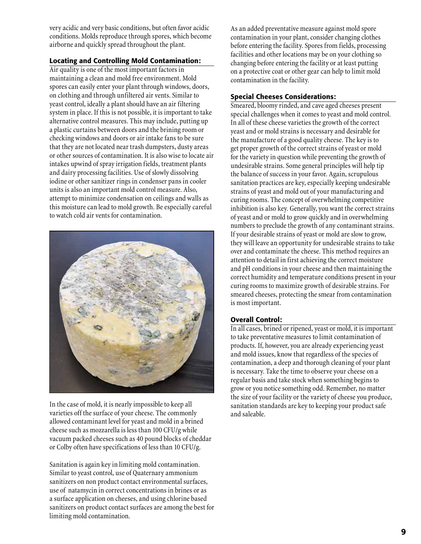very acidic and very basic conditions, but often favor acidic conditions. Molds reproduce through spores, which become airborne and quickly spread throughout the plant.

#### Locating and Controlling Mold Contamination:

Air quality is one of the most important factors in maintaining a clean and mold free environment. Mold spores can easily enter your plant through windows, doors, on clothing and through unfiltered air vents. Similar to yeast control, ideally a plant should have an air filtering system in place. If this is not possible, it is important to take alternative control measures. This may include, putting up a plastic curtains between doors and the brining room or checking windows and doors or air intake fans to be sure that they are not located near trash dumpsters, dusty areas or other sources of contamination. It is also wise to locate air intakes upwind of spray irrigation fields, treatment plants and dairy processing facilities. Use of slowly dissolving iodine or other sanitizer rings in condenser pans in cooler units is also an important mold control measure. Also, attempt to minimize condensation on ceilings and walls as this moisture can lead to mold growth. Be especially careful to watch cold air vents for contamination.



In the case of mold, it is nearly impossible to keep all varieties off the surface of your cheese. The commonly allowed contaminant level for yeast and mold in a brined cheese such as mozzarella is less than 100 CFU/g while vacuum packed cheeses such as 40 pound blocks of cheddar or Colby often have specifications of less than 10 CFU/g.

Sanitation is again key in limiting mold contamination. Similar to yeast control, use of Quaternary ammonium sanitizers on non product contact environmental surfaces, use of natamycin in correct concentrations in brines or as a surface application on cheeses, and using chlorine based sanitizers on product contact surfaces are among the best for limiting mold contamination.

As an added preventative measure against mold spore contamination in your plant, consider changing clothes before entering the facility. Spores from fields, processing facilities and other locations may be on your clothing so changing before entering the facility or at least putting on a protective coat or other gear can help to limit mold contamination in the facility.

#### Special Cheeses Considerations:

Smeared, bloomy rinded, and cave aged cheeses present special challenges when it comes to yeast and mold control. In all of these cheese varieties the growth of the correct yeast and or mold strains is necessary and desirable for the manufacture of a good quality cheese. The key is to get proper growth of the correct strains of yeast or mold for the variety in question while preventing the growth of undesirable strains. Some general principles will help tip the balance of success in your favor. Again, scrupulous sanitation practices are key, especially keeping undesirable strains of yeast and mold out of your manufacturing and curing rooms. The concept of overwhelming competitive inhibition is also key. Generally, you want the correct strains of yeast and or mold to grow quickly and in overwhelming numbers to preclude the growth of any contaminant strains. If your desirable strains of yeast or mold are slow to grow, they will leave an opportunity for undesirable strains to take over and contaminate the cheese. This method requires an attention to detail in first achieving the correct moisture and pH conditions in your cheese and then maintaining the correct humidity and temperature conditions present in your curing rooms to maximize growth of desirable strains. For smeared cheeses, protecting the smear from contamination is most important.

#### Overall Control:

In all cases, brined or ripened, yeast or mold, it is important to take preventative measures to limit contamination of products. If, however, you are already experiencing yeast and mold issues, know that regardless of the species of contamination, a deep and thorough cleaning of your plant is necessary. Take the time to observe your cheese on a regular basis and take stock when something begins to grow or you notice something odd. Remember, no matter the size of your facility or the variety of cheese you produce, sanitation standards are key to keeping your product safe and saleable.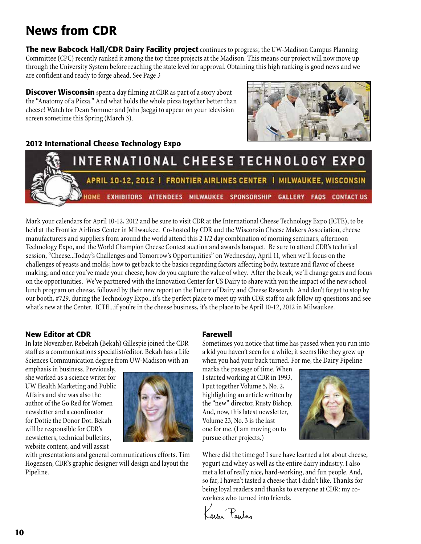### News from CDR

**The new Babcock Hall/CDR Dairy Facility project** continues to progress; the UW-Madison Campus Planning Committee (CPC) recently ranked it among the top three projects at the Madison. This means our project will now move up through the University System before reaching the state level for approval. Obtaining this high ranking is good news and we are confident and ready to forge ahead. See Page 3

**Discover Wisconsin** spent a day filming at CDR as part of a story about the "Anatomy of a Pizza." And what holds the whole pizza together better than cheese! Watch for Dean Sommer and John Jaeggi to appear on your television screen sometime this Spring (March 3).



#### 2012 International Cheese Technology Expo



Mark your calendars for April 10-12, 2012 and be sure to visit CDR at the International Cheese Technology Expo (ICTE), to be held at the Frontier Airlines Center in Milwaukee. Co-hosted by CDR and the Wisconsin Cheese Makers Association, cheese manufacturers and suppliers from around the world attend this 2 1/2 day combination of morning seminars, afternoon Technology Expo, and the World Champion Cheese Contest auction and awards banquet. Be sure to attend CDR's technical session, "Cheese...Today's Challenges and Tomorrow's Opportunities" on Wednesday, April 11, when we'll focus on the challenges of yeasts and molds; how to get back to the basics regarding factors affecting body, texture and flavor of cheese making; and once you've made your cheese, how do you capture the value of whey. After the break, we'll change gears and focus on the opportunities. We've partnered with the Innovation Center for US Dairy to share with you the impact of the new school lunch program on cheese, followed by their new report on the Future of Dairy and Cheese Research. And don't forget to stop by our booth, #729, during the Technology Expo...it's the perfect place to meet up with CDR staff to ask follow up questions and see what's new at the Center. ICTE...if you're in the cheese business, it's the place to be April 10-12, 2012 in Milwaukee.

#### New Editor at CDR

In late November, Rebekah (Bekah) Gillespie joined the CDR staff as a communications specialist/editor. Bekah has a Life Sciences Communication degree from UW-Madison with an

emphasis in business. Previously, she worked as a science writer for UW Health Marketing and Public Affairs and she was also the author of the Go Red for Women newsletter and a coordinator for Dottie the Donor Dot. Bekah will be responsible for CDR's newsletters, technical bulletins, website content, and will assist



with presentations and general communications efforts. Tim Hogensen, CDR's graphic designer will design and layout the Pipeline.

#### Farewell

Sometimes you notice that time has passed when you run into a kid you haven't seen for a while; it seems like they grew up when you had your back turned. For me, the Dairy Pipeline

marks the passage of time. When I started working at CDR in 1993, I put together Volume 5, No. 2, highlighting an article written by the "new" director, Rusty Bishop. And, now, this latest newsletter, Volume 23, No. 3 is the last one for me. (I am moving on to pursue other projects.)



Where did the time go! I sure have learned a lot about cheese, yogurt and whey as well as the entire dairy industry. I also met a lot of really nice, hard-working, and fun people. And, so far, I haven't tasted a cheese that I didn't like. Thanks for being loyal readers and thanks to everyone at CDR: my coworkers who turned into friends.

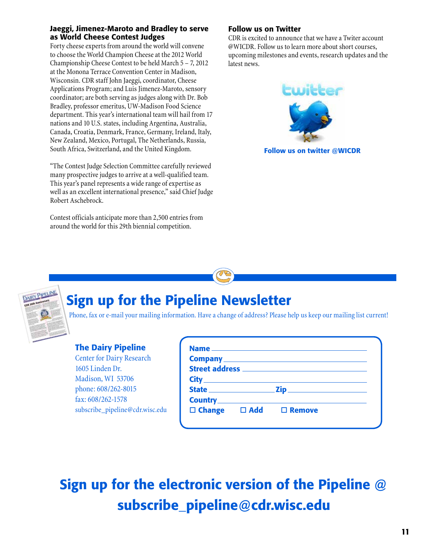#### Jaeggi, Jimenez-Maroto and Bradley to serve as World Cheese Contest Judges

Forty cheese experts from around the world will convene to choose the World Champion Cheese at the 2012 World Championship Cheese Contest to be held March 5 – 7, 2012 at the Monona Terrace Convention Center in Madison, Wisconsin. CDR staff John Jaeggi, coordinator, Cheese Applications Program; and Luis Jimenez-Maroto, sensory coordinator; are both serving as judges along with Dr. Bob Bradley, professor emeritus, UW-Madison Food Science department. This year's international team will hail from 17 nations and 10 U.S. states, including Argentina, Australia, Canada, Croatia, Denmark, France, Germany, Ireland, Italy, New Zealand, Mexico, Portugal, The Netherlands, Russia, South Africa, Switzerland, and the United Kingdom.

"The Contest Judge Selection Committee carefully reviewed many prospective judges to arrive at a well-qualified team. This year's panel represents a wide range of expertise as well as an excellent international presence," said Chief Judge Robert Aschebrock.

Contest officials anticipate more than 2,500 entries from around the world for this 29th biennial competition.

#### Follow us on Twitter

CDR is excited to announce that we have a Twiter account @WICDR. Follow us to learn more about short courses, upcoming milestones and events, research updates and the latest news.



Follow us on twitter @WICDR



# Sign up for the Pipeline Newsletter

Phone, fax or e-mail your mailing information. Have a change of address? Please help us keep our mailing list current!

#### The Dairy Pipeline

Center for Dairy Research 1605 Linden Dr. Madison, WI 53706 phone: 608/262-8015 fax: 608/262-1578 subscribe\_pipeline@cdr.wisc.edu

|  | $\Box$ Change $\Box$ Add $\Box$ Remove |  |
|--|----------------------------------------|--|

# Sign up for the electronic version of the Pipeline @ subscribe\_pipeline@cdr.wisc.edu